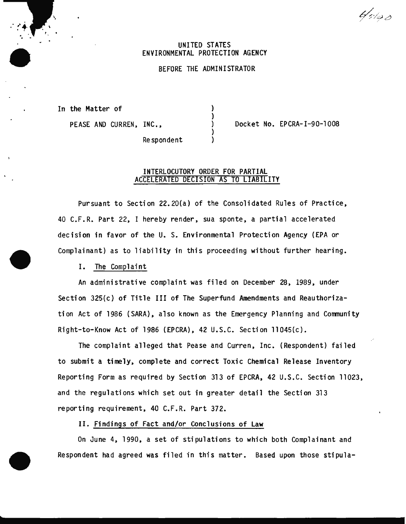$b\llap/$ 

## UNITED STATES ENVIRONMENTAL PROTECTION AGENCY

### BEFORE THE ADMINISTRATOR

 $\mathbf{L}$ 

In the Matter of

. . ..... ' • -r-·

PEASE AND CURREN, INC.,  $\rangle$  Docket No. EPCRA-I-90-1008

Respondent

# INTERLOCUTORY ORDER FOR PARTIAL ACCELERATED DECISION AS TO LIABILITY

Pursuant to Section 22.20(a} of the Consolidated Rules of Practice, 40 C.F.R. Part 22, I hereby render, sua sponte, a partial accelerated decision in favor of the U. S. Environmental Protection Agency (EPA or Complainant} as to liability in this proceeding without further hearing.

#### I. The Complaint

An administrative complaint was filed on December 28, 1989, under Section 325(c} of Title III of The Superfund Amendments and Reauthorization Act of 1986 (SARA}, also known as the Emergency Planning and Community Right-to-Know Act of 1986 (EPCRA}, 42 U.S.C. Section 11045(c}.

The complaint alleged that Pease and Curren, Inc. (Respondent} failed to submit a timely, complete and correct Toxic Chemical Release Inventory Reporting Form as required by Section 313 of EPCRA, 42 U.S.C. Section 11023, and the regulations which set out in greater detail the Section 313 reporting requirement, 40 C.F.R. Part 372.

II. Findings of Fact and/or Conclusions of Law

On June 4, 1990, a set of stipulations to which both Complainant and Respondent had agreed was filed in this matter. Based upon those stipula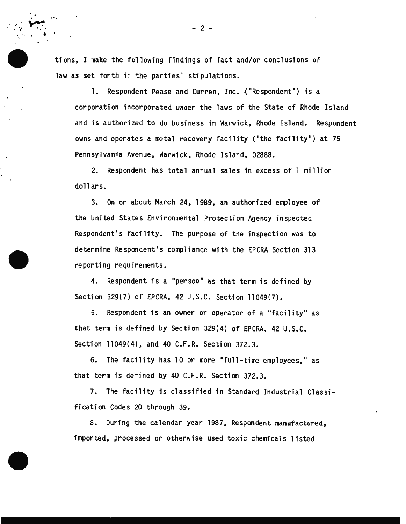tions. I make the following findings of fact and/or conclusions of law as set forth in the parties' stipulations.

I

. ~

' ' I • '

. .. .. *}-*

> 1. Respondent Pease and Curren, Inc. ("Respondent") is a corporation incorporated under the laws of the State of Rhode Island and is authorized to do business in Warwick, Rhode Island. Respondent owns and operates a metal recovery facility ("the facility") at 75 Pennsylvania Avenue, Warwick, Rhode Island, 02888.

2. Respondent has total annual sales in excess of 1 million dollars.

3. On or about March 24. 1989, an authorized employee of the United States Environmental Protection Agency inspected Respondent's facility. The purpose of the inspection was to determine Respondent's compliance with the EPCRA Section 313 reporting requirements.

4. Respondent is a "person" as that term is defined by Section 329(7) of EPCRA. 42 U.S.C. Section 11049(7).

5. Respondent is an owner or operator of a "facility" as that term is defined by Section 329(4) of EPCRA. 42 U.S.C. Section 11049(4), and 40 C.F.R. Section 372.3.

6. The facility has 10 or more "full-time employees." as that term is defined by 40 C.F.R. Section 372.3.

7. The facility is classified in Standard Industrial Classification Codes 20 through 39.

8. During the calendar year 1987. Respondent manufactured. imported. processed or otherwise used toxic chemicals listed

 $\frac{1}{2}$ .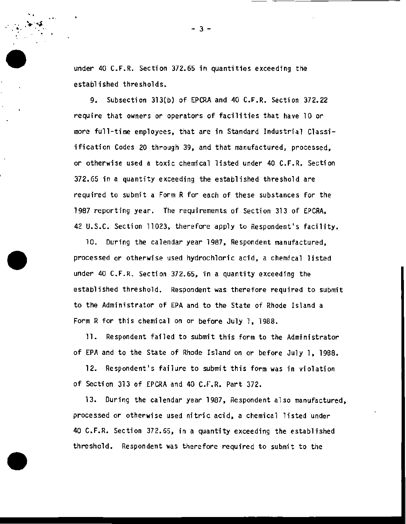under 40 C.F.R. Section 372.65 in quantities exceeding the established thresholds.

 $'$   $'$ 

9. Subsection 313(b) of EPCRA and 40 C.F.R. Section 372.22 require that owners or operators of facilities that have 10 or more full-time employees, that are in Standard Industrial Classiification Codes 20 through 39. and that manufactured, processed, or otherwise used a toxic chemical listed under 40 C.F.R. Section 372.65 in a quantity exceeding the established threshold are required to submit a Form R for each of these substances for the 1987 reporting year. The requirements of Section 313 of EPCRA, 42 U.S.C. Section 11023, therefore apply to Respondent's facility.

10. During the calendar year 1987, Respondent manufactured, processed or otherwise used hydrochloric acid, a chemical listed under 40 C.F.R. Section 372.65, in a quantity exceeding the established threshold. Respondent was therefore required to submit to the Administrator of EPA and to the State of Rhode Island a Form R for this chemical on or before July 1. 1988.

11. Respondent failed to submit this form to the Administrator of EPA and to the State of Rhode Island on or before July 1, 1988.

12. Respondent's failure to submit this form was in violation of Section 313 of EPCRA and 40 C.F.R. Part 372.

13. During the calendar year 1987. Respondent also manufactured, processed or otherwise used nitric acid, a chemical listed under 40 C.F.R. Section 372.65, in a quantity exceeding the established threshold. Respondent was therefore required to submit to the

. . . - 3 -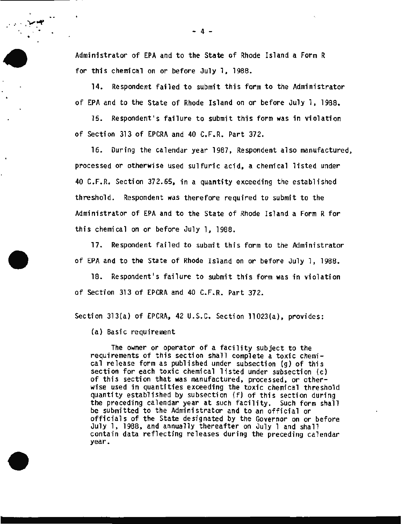Administrator of EPA and to the State of Rhode Island a Form R for this chemical on or before July 1. 1988.

14. Respondent failed to submit this form to the Administrator of EPA and to the State of Rhode Island on or before July 1. 1988.

15. Respondent's failure to submit this form was in violation of Section 313 of EPCRA and 40 C.F.R. Part 372.

16. During the calendar year 1987, Respondent also manufactured, processed or otherwise used sulfuric acid, a chemical listed under 40 C.F.R. Section 372.65, in a quantity exceeding the established threshold. Respondent was therefore required to submit to the Administrator of EPA and to the State of Rhode Island a Form R for this chemical on or before July 1, 1988.

17. Respondent failed to submit this form to the Administrator of EPA and to the State of Rhode Island on or before July 1, 1988.

18. Respondent's failure to submit this form was in violation of Section 313 of EPCRA and 40 C.F.R. Part 372.

Section 313{a) of EPCRA, 42 U.S.C. Section 11023{a), provides:

(a) Basic requirement

 $\mathbf{e}_{\mathbf{e}}$   $\mathbf{e}_{\mathbf{e}}$ 

•

The owner or operator of a facility subject to the requirements of this section shall complete a toxic chemical release form as published under subsection {g) of this section for each toxic chemical listed under subsection {c) of this section that was manufactured, processed, or otherwise used in quantities exceeding the toxic chemical threshold quantity established by subsection {f) of this section during the preceding calendar year at such facility. Such form shall be submitted to the Administrator and to an official or officials of the State designated by the Governor on or before July 1, 1988, and annually thereafter on July 1 and shall contain data reflecting releases during the preceding calendar year.

 $- 4 -$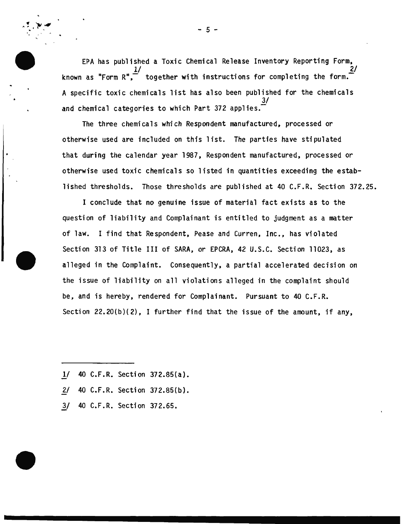EPA has published a Toxic Chemical Release Inventory Reporting Form. known as "Form R",  $\frac{1}{2}$  together with instructions for completing the form. A specific toxic chemicals list has also been published for the chemicals  $\frac{3}{ }$ and chemical categories to which Part 372 applies. $\tilde{\phantom{a}}$ 

The three chemicals which Respondent manufactured, processed or otherwise used are included on this list. The parties have stipulated that during the calendar year 1987, Respondent manufactured, processed or otherwise used toxic chemicals so listed in quantities exceeding the established thresholds. Those thresholds are published at 40 C.F.R. Section 372.25.

I conclude that no genuine issue of material fact exists as to the question of liability and Complainant is entitled to judgment as a matter of law. I find that Respondent, Pease and Curren, *Inc.,* has violated Section 313 of Title III of SARA, or EPCRA, 42 U.S.C. Section 11023, as alleged in the Complaint. Consequently, a partial accelerated decision on the issue of liability on all violations alleged in the complaint should be, and is hereby, rendered for Complainant. Pursuant to 40 C.F.R. Section  $22.20(b)(2)$ , I further find that the issue of the amount, if any,

- 1/ 40 C.F.R. Section 372.85{a).
- 2/ 40 C.F.R. Section 372.85{b}.
- 3/ 40 C.F.R. Section 372.65.

 $-5 -$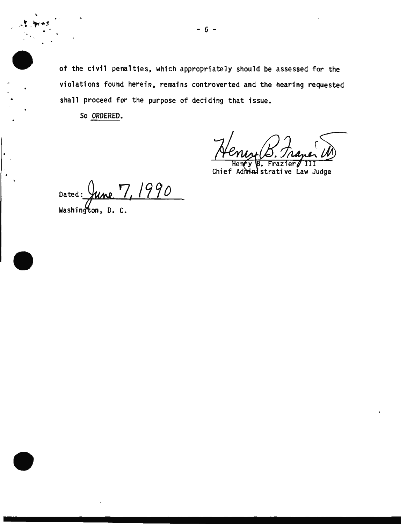of the civil penalties. which appropriately should be assessed for the violations found herein. remains controverted and the hearing requested shall proceed for the purpose of deciding that issue.

So ORDERED.

Frazier Chief Administrative Law Judge

Dated: June 7, 1990 Washington, D. C.